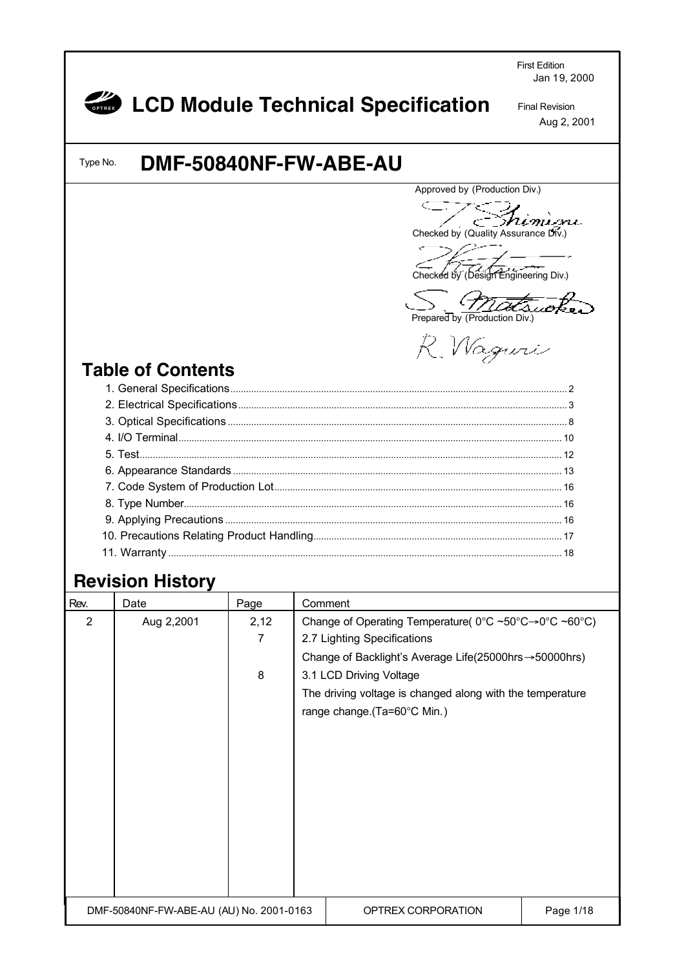First Edition Jan 19, 2000 *COD Module Technical Specification* Final Revision Aug 2, 2001 **DMF-50840NF-FW-ABE-AU** Type No. Approved by (Production Div.) <u> Shimim</u>i Checked by (Quality Assurance Div.) Checked by (Design Engineering Div.) **Prepared by (Production Div.)** R. Wagner **Table of Contents** 1. General Specifications.................................................................................................................................. 2 2. Electrical Specifications............................................................................................................................... 3 3. Optical Specifications ................................................................................................................................... 8 4. I/O Terminal.................................................................................................................................................... 10 5. Test................................................................................................................................................................... 12 6. Appearance Standards ............................................................................................................................... 13 7. Code System of Production Lot............................................................................................................... 16 8. Type Number.................................................................................................................................................. 16 9. Applying Precautions .................................................................................................................................. 16 10. Precautions Relating Product Handling................................................................................................ 17 11. Warranty ........................................................................................................................................................ 18 **Revision History** Rev. Date Page Comment 2 Aug 2,2001 2,12 Change of Operating Temperature( 0°C ~50°C→0°C ~60°C) 7 2.7 Lighting Specifications Change of Backlight's Average Life(25000hrs→50000hrs) 8 3.1 LCD Driving Voltage The driving voltage is changed along with the temperature range change.(Ta=60°C Min.) DMF-50840NF-FW-ABE-AU (AU) No. 2001-0163 | OPTREX CORPORATION | Page 1/18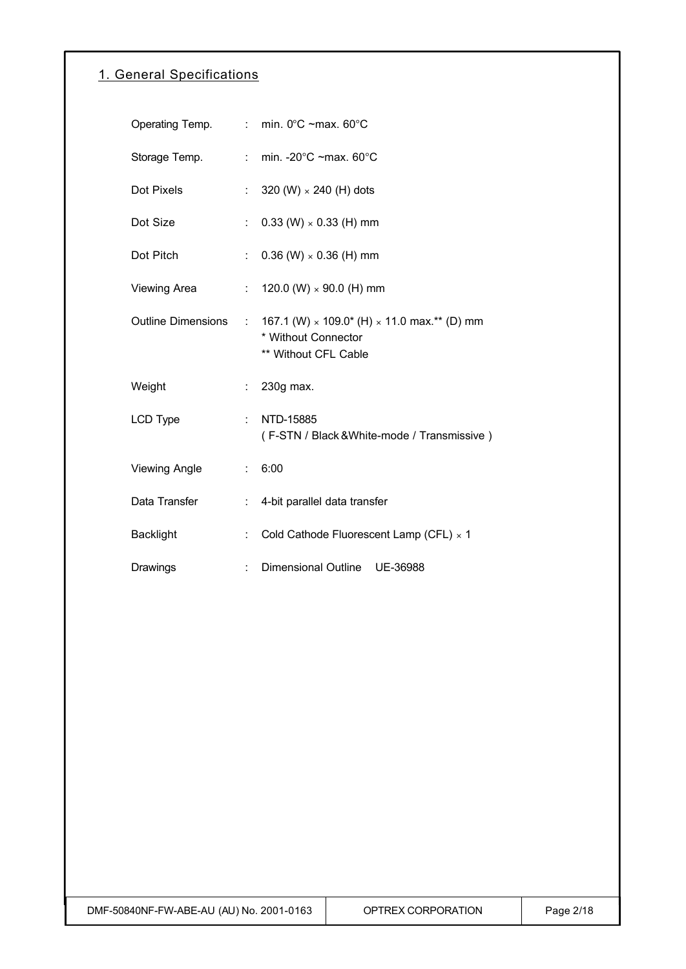## 1. General Specifications

| Operating Temp.           |                           | : min. $0^{\circ}$ C ~max. $60^{\circ}$ C                                                                |
|---------------------------|---------------------------|----------------------------------------------------------------------------------------------------------|
| Storage Temp.             |                           | : min. -20 $^{\circ}$ C ~max. 60 $^{\circ}$ C                                                            |
| Dot Pixels                | t.                        | 320 (W) $\times$ 240 (H) dots                                                                            |
| Dot Size                  | t.                        | $0.33$ (W) $\times$ 0.33 (H) mm                                                                          |
| Dot Pitch                 | ÷.                        | $0.36$ (W) $\times$ 0.36 (H) mm                                                                          |
| <b>Viewing Area</b>       | $\mathbb{R}^{\mathbb{Z}}$ | 120.0 (W) $\times$ 90.0 (H) mm                                                                           |
| <b>Outline Dimensions</b> | ÷.                        | 167.1 (W) $\times$ 109.0* (H) $\times$ 11.0 max.** (D) mm<br>* Without Connector<br>** Without CFL Cable |
| Weight                    | ÷.                        | 230g max.                                                                                                |
| <b>LCD Type</b>           | t.                        | NTD-15885<br>(F-STN / Black & White-mode / Transmissive)                                                 |
| <b>Viewing Angle</b>      | t.                        | 6:00                                                                                                     |
| Data Transfer             |                           | : 4-bit parallel data transfer                                                                           |
| <b>Backlight</b>          | ÷                         | Cold Cathode Fluorescent Lamp (CFL) $\times$ 1                                                           |
| Drawings                  |                           | <b>Dimensional Outline</b><br>UE-36988                                                                   |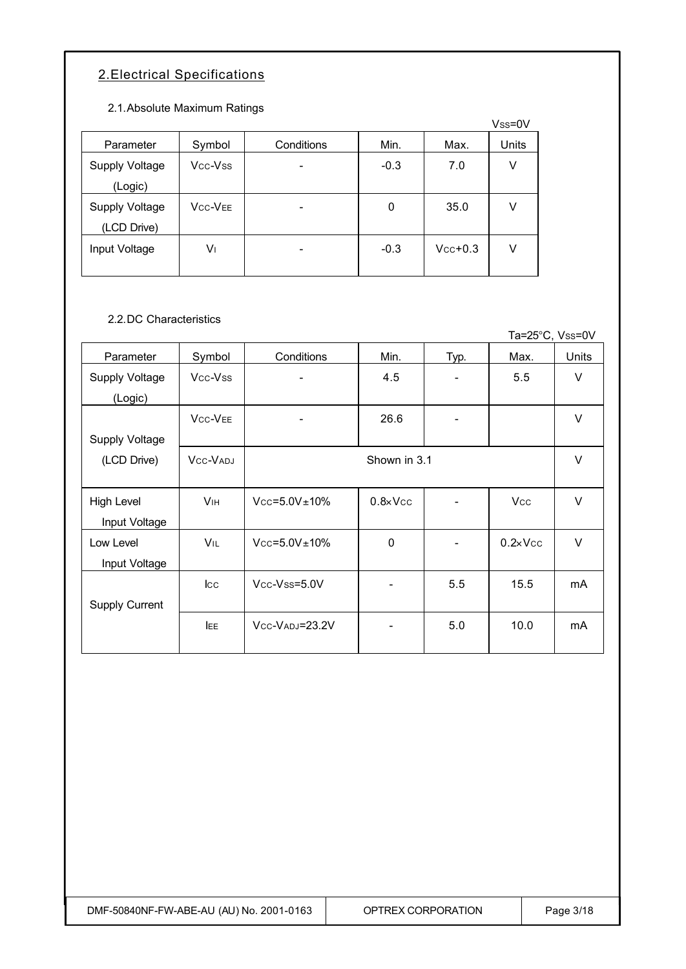# 2.Electrical Specifications

2.1.Absolute Maximum Ratings

|                |                |            |        |           | Vss=0V |
|----------------|----------------|------------|--------|-----------|--------|
| Parameter      | Symbol         | Conditions | Min.   | Max.      | Units  |
| Supply Voltage | Vcc-Vss        |            | $-0.3$ | 7.0       | ٧      |
| (Logic)        |                |            |        |           |        |
| Supply Voltage | <b>VCC-VEE</b> |            | 0      | 35.0      | V      |
| (LCD Drive)    |                |            |        |           |        |
| Input Voltage  | V١             |            | $-0.3$ | $Vcc+0.3$ | V      |
|                |                |            |        |           |        |

2.2.DC Characteristics

|                       |                                   |                       |                   |                          | Ta=25°C, Vss=0V   |        |
|-----------------------|-----------------------------------|-----------------------|-------------------|--------------------------|-------------------|--------|
| Parameter             | Symbol                            | Conditions            | Min.              | Typ.                     | Max.              | Units  |
| Supply Voltage        | Vcc-Vss                           | -                     | 4.5               |                          | 5.5               | $\vee$ |
| (Logic)               |                                   |                       |                   |                          |                   |        |
|                       | V <sub>CC</sub> -V <sub>EE</sub>  | -                     | 26.6              | $\overline{\phantom{a}}$ |                   | $\vee$ |
| <b>Supply Voltage</b> |                                   |                       |                   |                          |                   |        |
| (LCD Drive)           | V <sub>CC</sub> -V <sub>ADJ</sub> |                       | Shown in 3.1      |                          |                   | $\vee$ |
|                       |                                   |                       |                   |                          |                   |        |
| <b>High Level</b>     | <b>V<sub>IH</sub></b>             | $Vcc = 5.0V \pm 10\%$ | $0.8 \times V$ cc |                          | <b>Vcc</b>        | $\vee$ |
| Input Voltage         |                                   |                       |                   |                          |                   |        |
| Low Level             | <b>VIL</b>                        | $Vcc = 5.0V \pm 10\%$ | $\mathbf 0$       | $\overline{\phantom{a}}$ | $0.2 \times V$ cc | $\vee$ |
| Input Voltage         |                                   |                       |                   |                          |                   |        |
|                       | $_{\rm lcc}$                      | Vcc-Vss=5.0V          |                   | 5.5                      | 15.5              | mA     |
| <b>Supply Current</b> |                                   |                       |                   |                          |                   |        |
|                       | <b>IEE</b>                        | Vcc-VADJ=23.2V        |                   | 5.0                      | 10.0              | mA     |
|                       |                                   |                       |                   |                          |                   |        |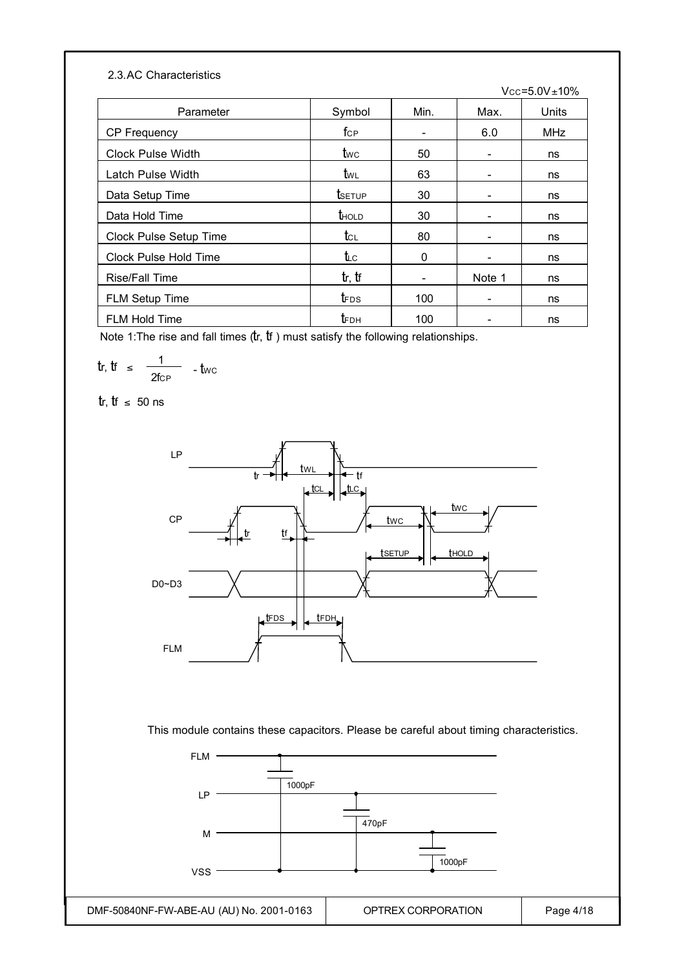#### 2.3.AC Characteristics

|                        |                                     |      |        | $Vcc = 5.0V \pm 10\%$ |
|------------------------|-------------------------------------|------|--------|-----------------------|
| Parameter              | Symbol                              | Min. | Max.   | Units                 |
| <b>CP Frequency</b>    | $f_{\rm CP}$                        |      | 6.0    | <b>MHz</b>            |
| Clock Pulse Width      | twc                                 | 50   |        | ns                    |
| Latch Pulse Width      | twl                                 | 63   |        | ns                    |
| Data Setup Time        | tsetup                              | 30   |        | ns                    |
| Data Hold Time         | thold                               | 30   |        | ns                    |
| Clock Pulse Setup Time | $t_{\scriptscriptstyle{\text{CL}}}$ | 80   |        | ns                    |
| Clock Pulse Hold Time  | t∟c                                 | 0    |        | ns                    |
| <b>Rise/Fall Time</b>  | tr, tr                              |      | Note 1 | ns                    |
| FLM Setup Time         | t <sub>FDS</sub>                    | 100  |        | ns                    |
| <b>FLM Hold Time</b>   | tгрн                                | 100  |        | ns                    |

Note 1: The rise and fall times  $(tr, tr)$  must satisfy the following relationships.

$$
tr, \, tr \, \leq \, \frac{1}{2 \text{fcP}} \, - \text{twc}
$$

tr, tf ≤ 50 ns



This module contains these capacitors. Please be careful about timing characteristics.

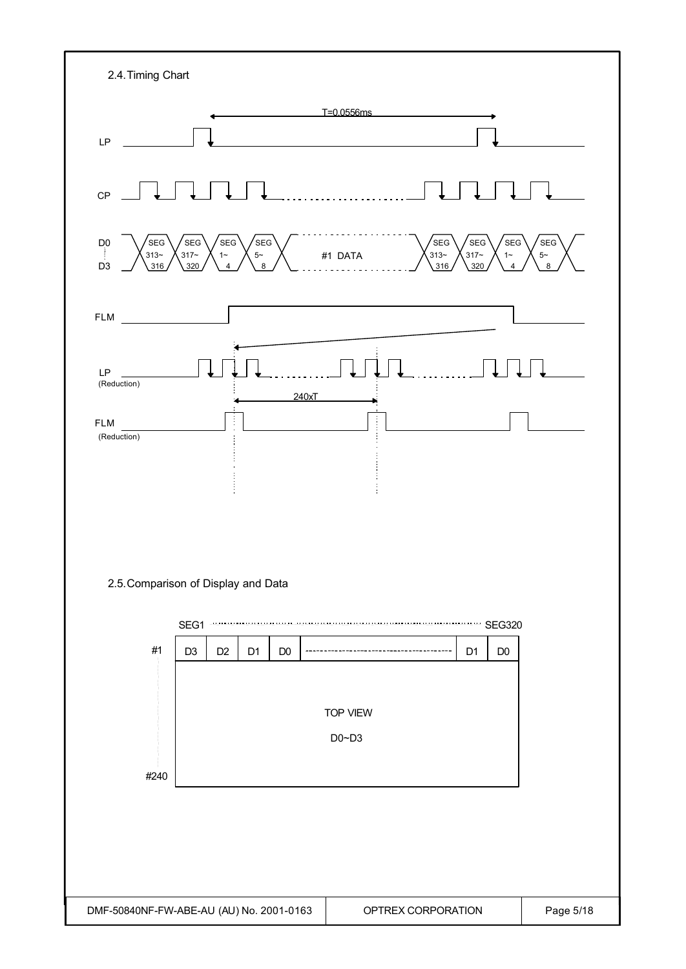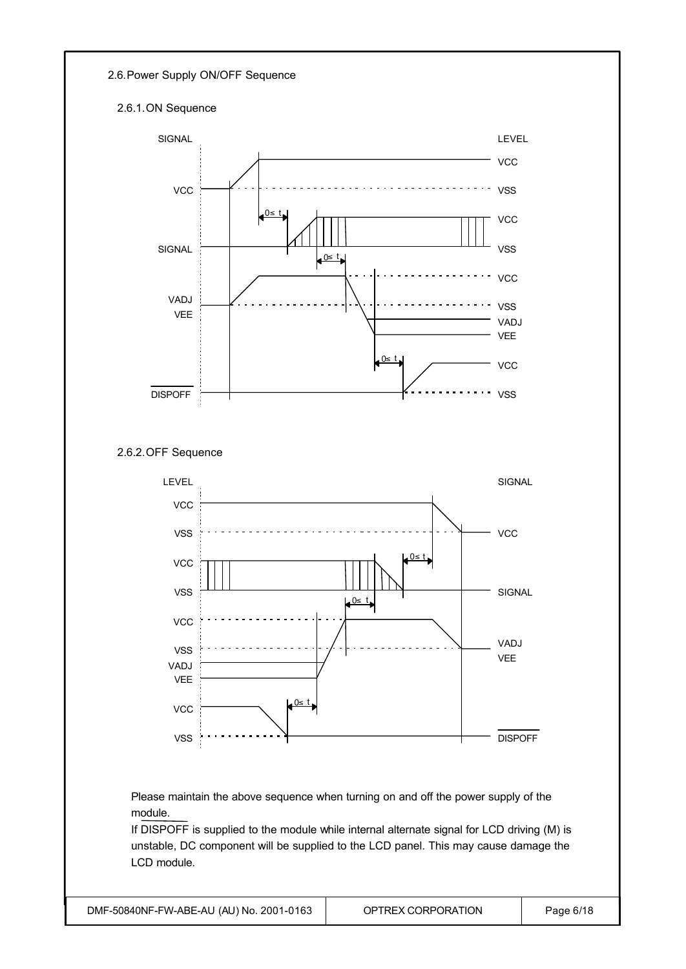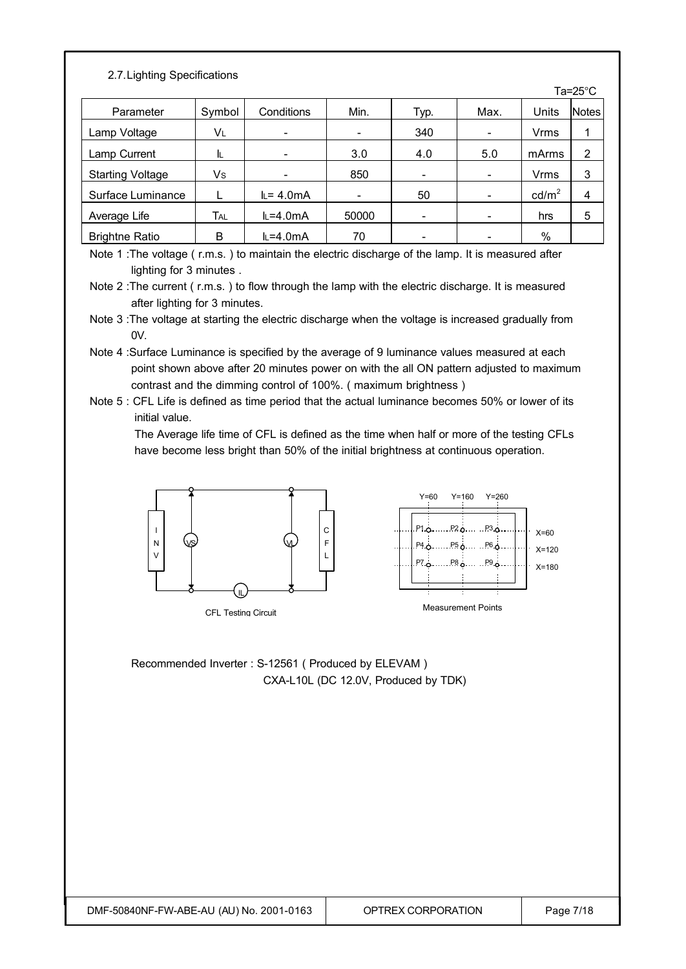### 2.7.Lighting Specifications

|                         |        |             |                              |                          |      |                   | ⊺a=zo ∪        |
|-------------------------|--------|-------------|------------------------------|--------------------------|------|-------------------|----------------|
| Parameter               | Symbol | Conditions  | Min.                         | Typ.                     | Max. | Units             | <b>Notes</b>   |
| Lamp Voltage            | VL     | -           | $\overline{\phantom{0}}$     | 340                      |      | Vrms              |                |
| Lamp Current            | IL.    | -           | 3.0                          | 4.0                      | 5.0  | mArms             | $\overline{2}$ |
| <b>Starting Voltage</b> | Vs     |             | 850                          | $\overline{\phantom{0}}$ |      | <b>Vrms</b>       | 3              |
| Surface Luminance       |        | $L = 4.0mA$ | $\qquad \qquad \blacksquare$ | 50                       |      | cd/m <sup>2</sup> | 4              |
| Average Life            | Tal    | $L=4.0mA$   | 50000                        | $\overline{\phantom{0}}$ |      | hrs               | 5              |
| <b>Brightne Ratio</b>   | B      | $L=4.0mA$   | 70                           |                          |      | %                 |                |

Note 1 : The voltage (r.m.s.) to maintain the electric discharge of the lamp. It is measured after lighting for 3 minutes .

Note 2 : The current (r.m.s.) to flow through the lamp with the electric discharge. It is measured after lighting for 3 minutes.

- Note 3 :The voltage at starting the electric discharge when the voltage is increased gradually from  $0V$
- Note 4 :Surface Luminance is specified by the average of 9 luminance values measured at each point shown above after 20 minutes power on with the all ON pattern adjusted to maximum contrast and the dimming control of 100%. ( maximum brightness )
- Note 5 : CFL Life is defined as time period that the actual luminance becomes 50% or lower of its initial value.

 The Average life time of CFL is defined as the time when half or more of the testing CFLs have become less bright than 50% of the initial brightness at continuous operation.



CFL Testing Circuit



Recommended Inverter : S-12561 ( Produced by ELEVAM ) CXA-L10L (DC 12.0V, Produced by TDK)  $T = 250$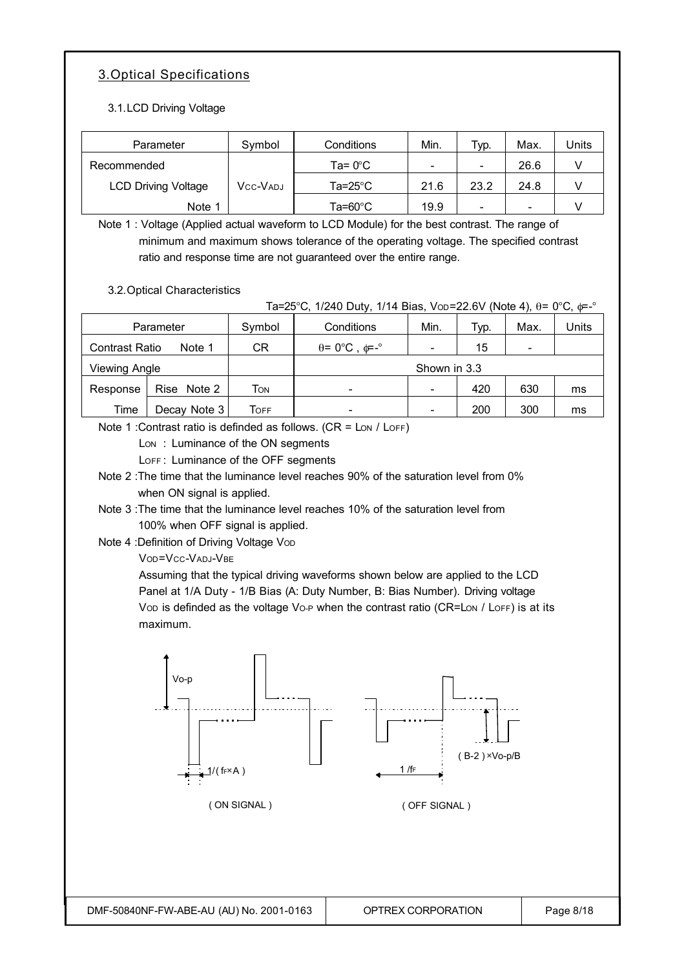# 3.Optical Specifications

### 3.1.LCD Driving Voltage

| Parameter                  | Symbol   | Conditions | Min. | Typ. | Max. | Units |
|----------------------------|----------|------------|------|------|------|-------|
| Recommended                |          | Ta= 0°C    |      | -    | 26.6 |       |
| <b>LCD Driving Voltage</b> | Vcc-Vadj | Ta=25°C    | 21.6 | 23.2 | 24.8 |       |
| Note 1                     |          | Ta=60°C    | 19.9 | -    |      |       |

Note 1 : Voltage (Applied actual waveform to LCD Module) for the best contrast. The range of minimum and maximum shows tolerance of the operating voltage. The specified contrast ratio and response time are not guaranteed over the entire range.

3.2.Optical Characteristics

Ta=25°C, 1/240 Duty, 1/14 Bias, VoD=22.6V (Note 4), θ= 0°C, φ=-°

|                       | Symbol<br>Parameter |      | Conditions                              | Min.         | Typ. | Max. | Units |
|-----------------------|---------------------|------|-----------------------------------------|--------------|------|------|-------|
| <b>Contrast Ratio</b> | Note 1              | CR   | $\theta = 0^{\circ}C$ , $\phi = -\circ$ |              | 15   |      |       |
| Viewing Angle         |                     |      |                                         | Shown in 3.3 |      |      |       |
| Response              | Rise Note 2         | Том  | -                                       |              | 420  | 630  | ms    |
| Time                  | Decay Note 3        | Гоғғ | -                                       |              | 200  | 300  | ms    |

Note 1 : Contrast ratio is definded as follows.  $(CR = \text{Low / } \text{LOFF})$ 

Lon: Luminance of the ON segments

LOFF: Luminance of the OFF segments

Note 2 :The time that the luminance level reaches 90% of the saturation level from 0% when ON signal is applied.

Note 3 :The time that the luminance level reaches 10% of the saturation level from 100% when OFF signal is applied.

Note 4 : Definition of Driving Voltage Vop

VOD=VCC-VADJ-VBE

Assuming that the typical driving waveforms shown below are applied to the LCD Panel at 1/A Duty - 1/B Bias (A: Duty Number, B: Bias Number). Driving voltage Vop is definded as the voltage Vo-P when the contrast ratio (CR=Lon / LoFF) is at its maximum.

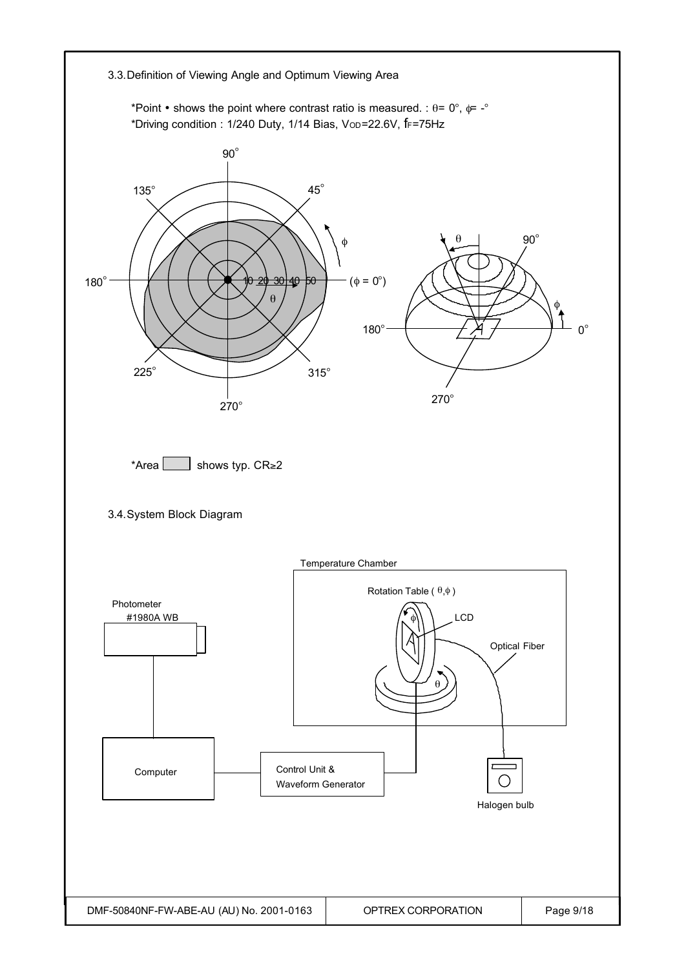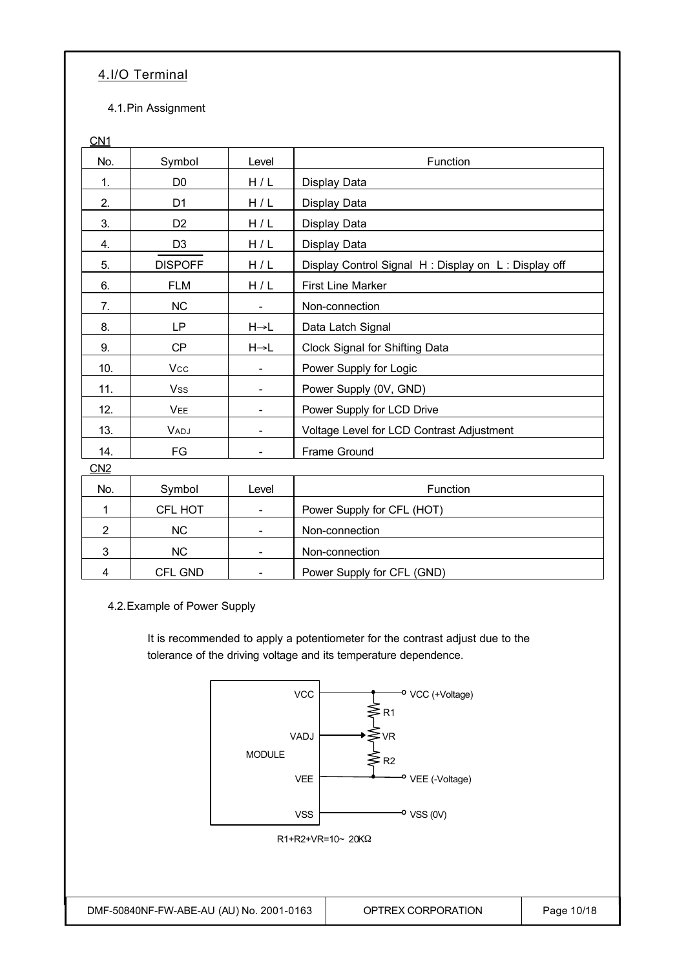### 4.I/O Terminal

4.1.Pin Assignment

| <u>CN1</u>     |                |                          |                                                     |
|----------------|----------------|--------------------------|-----------------------------------------------------|
| No.            | Symbol         | Level                    | Function                                            |
| 1.             | D <sub>0</sub> | H/L                      | Display Data                                        |
| 2.             | D <sub>1</sub> | H/L                      | Display Data                                        |
| 3.             | D <sub>2</sub> | H/L                      | Display Data                                        |
| 4.             | D <sub>3</sub> | H/L                      | Display Data                                        |
| 5.             | <b>DISPOFF</b> | H/L                      | Display Control Signal H: Display on L: Display off |
| 6.             | <b>FLM</b>     | H/L                      | <b>First Line Marker</b>                            |
| 7.             | <b>NC</b>      |                          | Non-connection                                      |
| 8.             | LP             | $H \rightarrow L$        | Data Latch Signal                                   |
| 9.             | <b>CP</b>      | $H \rightarrow L$        | <b>Clock Signal for Shifting Data</b>               |
| 10.            | Vcc            |                          | Power Supply for Logic                              |
| 11.            | <b>Vss</b>     | $\overline{\phantom{a}}$ | Power Supply (0V, GND)                              |
| 12.            | <b>VEE</b>     |                          | Power Supply for LCD Drive                          |
| 13.            | VADJ           |                          | Voltage Level for LCD Contrast Adjustment           |
| 14.            | FG             |                          | Frame Ground                                        |
| CN2            |                |                          |                                                     |
| No.            | Symbol         | Level                    | Function                                            |
| 1              | CFL HOT        |                          | Power Supply for CFL (HOT)                          |
| $\overline{2}$ | <b>NC</b>      |                          | Non-connection                                      |
| 3              | <b>NC</b>      |                          | Non-connection                                      |
| 4              | CFL GND        |                          | Power Supply for CFL (GND)                          |

4.2.Example of Power Supply

It is recommended to apply a potentiometer for the contrast adjust due to the tolerance of the driving voltage and its temperature dependence.

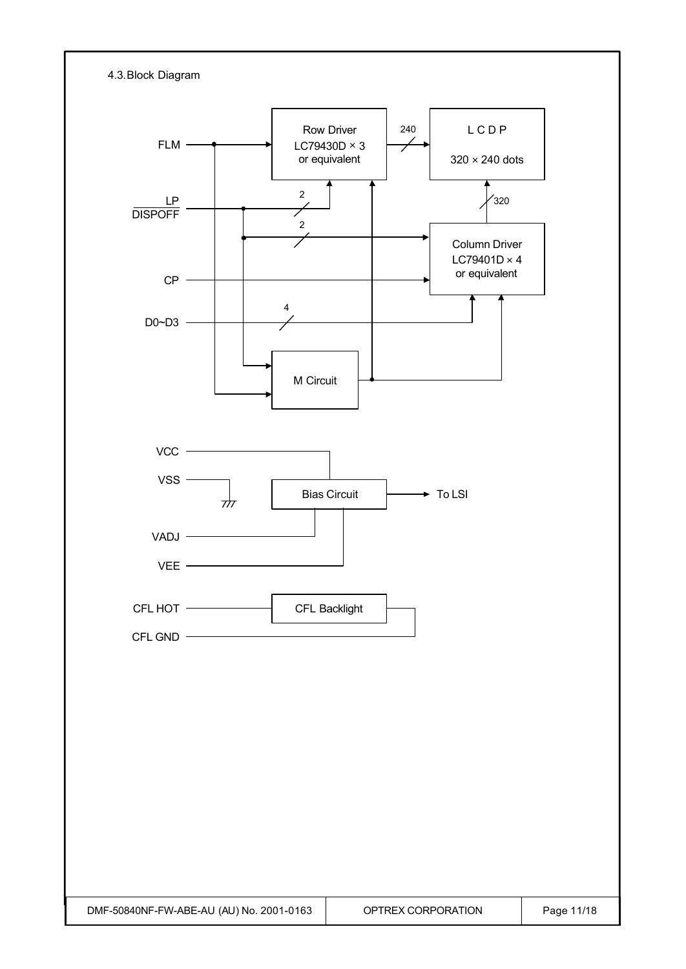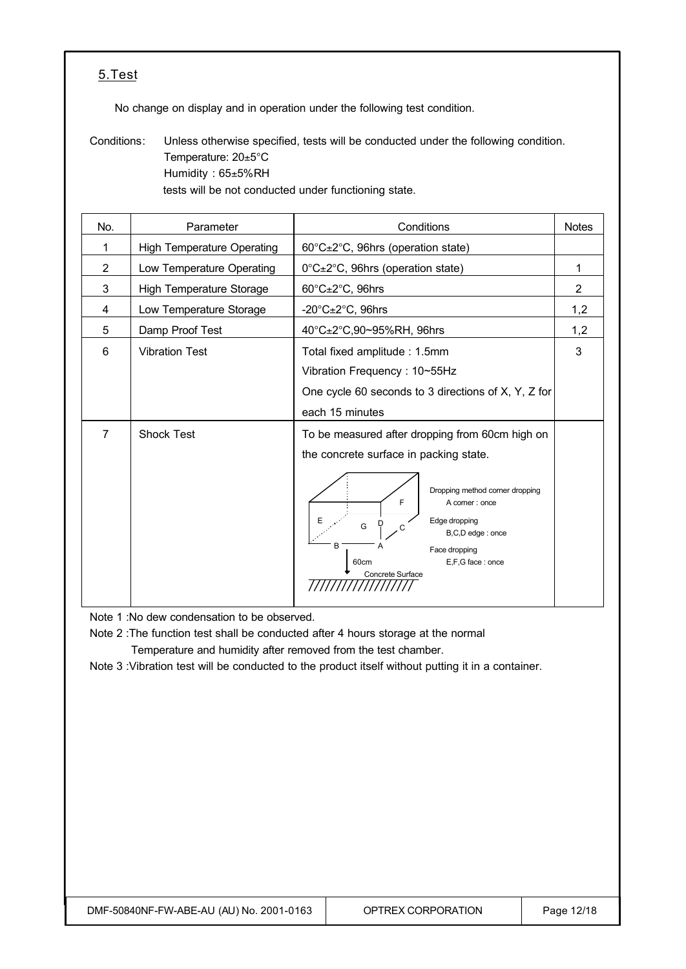### 5.Test

No change on display and in operation under the following test condition.

Conditions: Unless otherwise specified, tests will be conducted under the following condition. Temperature: 20±5°C Humidity : 65±5%RH tests will be not conducted under functioning state.

| No.            | Parameter                         | Conditions                                                                                                                                                                                                                                                          | <b>Notes</b>   |
|----------------|-----------------------------------|---------------------------------------------------------------------------------------------------------------------------------------------------------------------------------------------------------------------------------------------------------------------|----------------|
| 1              | <b>High Temperature Operating</b> | 60°C±2°C, 96hrs (operation state)                                                                                                                                                                                                                                   |                |
| $\overline{2}$ | Low Temperature Operating         | 0°C±2°C, 96hrs (operation state)                                                                                                                                                                                                                                    |                |
| 3              | <b>High Temperature Storage</b>   | $60^{\circ}$ C $\pm$ 2 $^{\circ}$ C, 96hrs                                                                                                                                                                                                                          | $\overline{2}$ |
| 4              | Low Temperature Storage           | -20 $^{\circ}$ C $\pm$ 2 $^{\circ}$ C, 96hrs                                                                                                                                                                                                                        | 1,2            |
| 5              | Damp Proof Test                   | 40°C±2°C,90~95%RH, 96hrs                                                                                                                                                                                                                                            | 1,2            |
| 6              | <b>Vibration Test</b>             | Total fixed amplitude: 1.5mm<br>Vibration Frequency: 10~55Hz<br>One cycle 60 seconds to 3 directions of X, Y, Z for<br>each 15 minutes                                                                                                                              | 3              |
| $\overline{7}$ | <b>Shock Test</b>                 | To be measured after dropping from 60cm high on<br>the concrete surface in packing state.<br>Dropping method corner dropping<br>F<br>A corner: once<br>Edge dropping<br>G<br>B,C,D edge: once<br>B<br>Face dropping<br>E,F,G face: once<br>60cm<br>Concrete Surface |                |

Note 1 :No dew condensation to be observed.

Note 2 :The function test shall be conducted after 4 hours storage at the normal Temperature and humidity after removed from the test chamber.

Note 3 :Vibration test will be conducted to the product itself without putting it in a container.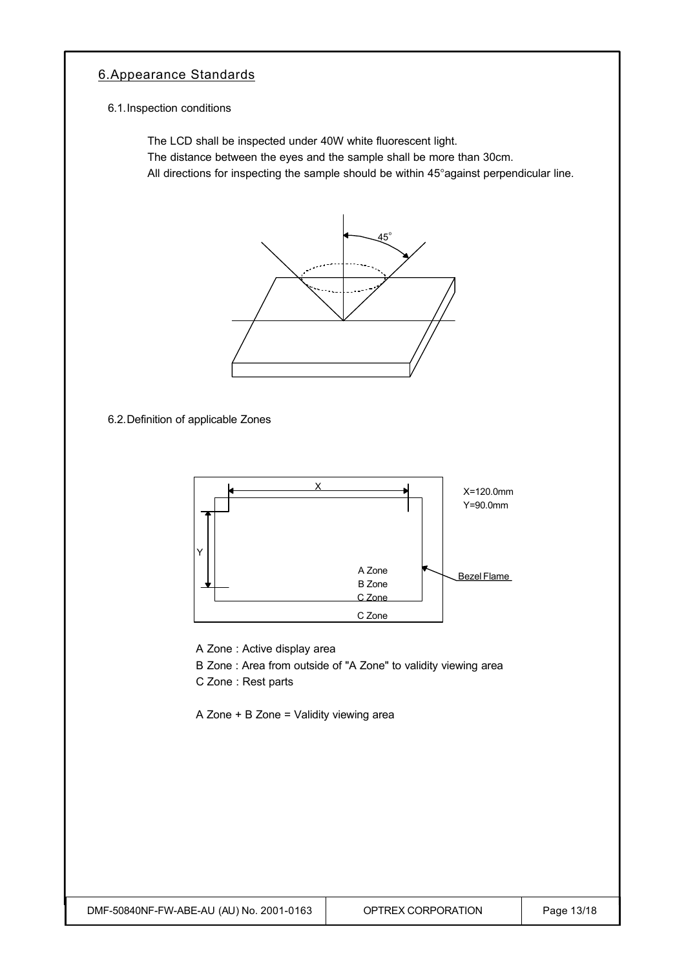## 6.Appearance Standards

#### 6.1.Inspection conditions

The LCD shall be inspected under 40W white fluorescent light.

The distance between the eyes and the sample shall be more than 30cm.

All directions for inspecting the sample should be within 45°against perpendicular line.



6.2.Definition of applicable Zones



A Zone : Active display area

B Zone : Area from outside of "A Zone" to validity viewing area

C Zone : Rest parts

A Zone + B Zone = Validity viewing area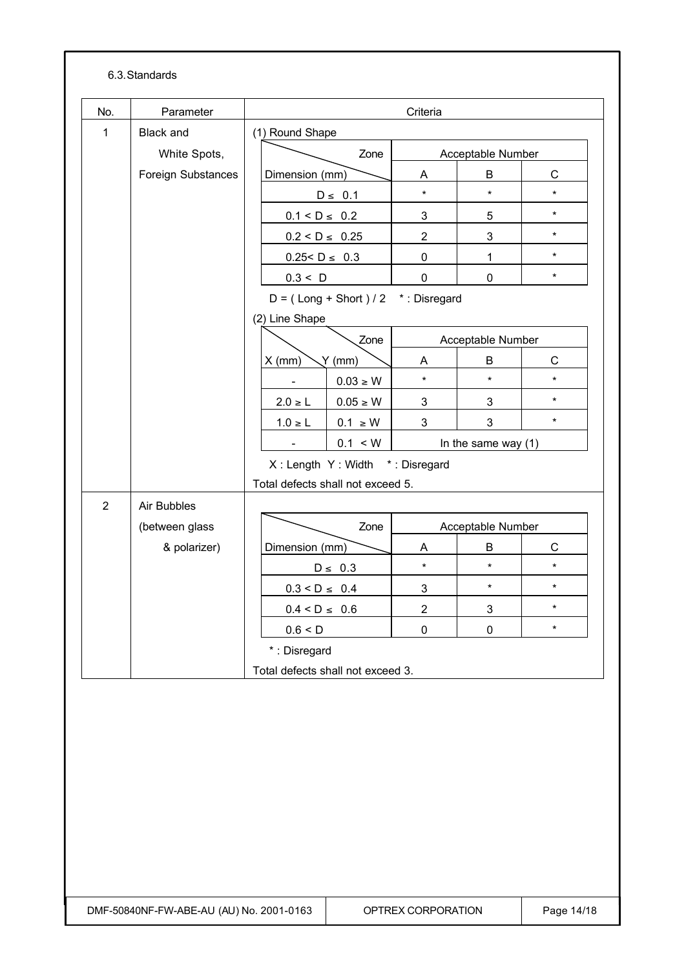| No.            | Parameter          | Criteria           |                                       |                |                       |              |
|----------------|--------------------|--------------------|---------------------------------------|----------------|-----------------------|--------------|
| $\mathbf{1}$   | <b>Black and</b>   | (1) Round Shape    |                                       |                |                       |              |
|                | White Spots,       |                    | Zone                                  |                | Acceptable Number     |              |
|                | Foreign Substances | Dimension (mm)     |                                       | A              | B                     | $\mathsf{C}$ |
|                |                    |                    | $D \leq 0.1$                          | $\star$        | $\star$               | $\star$      |
|                |                    | $0.1 < D \le 0.2$  |                                       | 3              | 5                     | $\star$      |
|                |                    | $0.2 < D \le 0.25$ |                                       | $\overline{2}$ | 3                     | $\star$      |
|                |                    | $0.25 < D \le 0.3$ |                                       | $\mathsf 0$    | 1                     | $\star$      |
|                |                    | 0.3 < D            |                                       | $\pmb{0}$      | 0                     | $\star$      |
|                |                    |                    | $D = (Long + Short) / 2$ *: Disregard |                |                       |              |
|                |                    | (2) Line Shape     |                                       |                |                       |              |
|                |                    |                    | Zone                                  |                | Acceptable Number     |              |
|                |                    | $X$ (mm)           | Y(mm)                                 | A              | B                     | $\mathsf C$  |
|                |                    |                    | $0.03 \geq W$                         | $\star$        | $\star$               | $\star$      |
|                |                    | $2.0 \ge L$        | $0.05 \geq W$                         | 3              | 3                     | $\star$      |
|                |                    | $1.0 \ge L$        | $0.1 \geq W$                          | 3              | 3                     | $\star$      |
|                |                    |                    | 0.1 < W                               |                | In the same way $(1)$ |              |
|                |                    |                    | X: Length Y: Width *: Disregard       |                |                       |              |
|                |                    |                    | Total defects shall not exceed 5.     |                |                       |              |
| $\overline{2}$ | Air Bubbles        |                    |                                       |                |                       |              |
|                | (between glass     |                    | Zone                                  |                | Acceptable Number     |              |
|                | & polarizer)       | Dimension (mm)     |                                       | Α              | В                     | $\mathsf C$  |
|                |                    |                    | $D \leq 0.3$                          | $\star$        | $\star$               | $\star$      |
|                |                    | $0.3 < D \leq 0.4$ |                                       | $\mathfrak{S}$ | $\star$               | $\star$      |
|                |                    | $0.4 < D \leq 0.6$ |                                       | $\overline{2}$ | 3                     | $\star$      |
|                |                    | 0.6 < D            |                                       | $\pmb{0}$      | $\pmb{0}$             | $\star$      |
|                |                    | *: Disregard       |                                       |                |                       |              |
|                |                    |                    | Total defects shall not exceed 3.     |                |                       |              |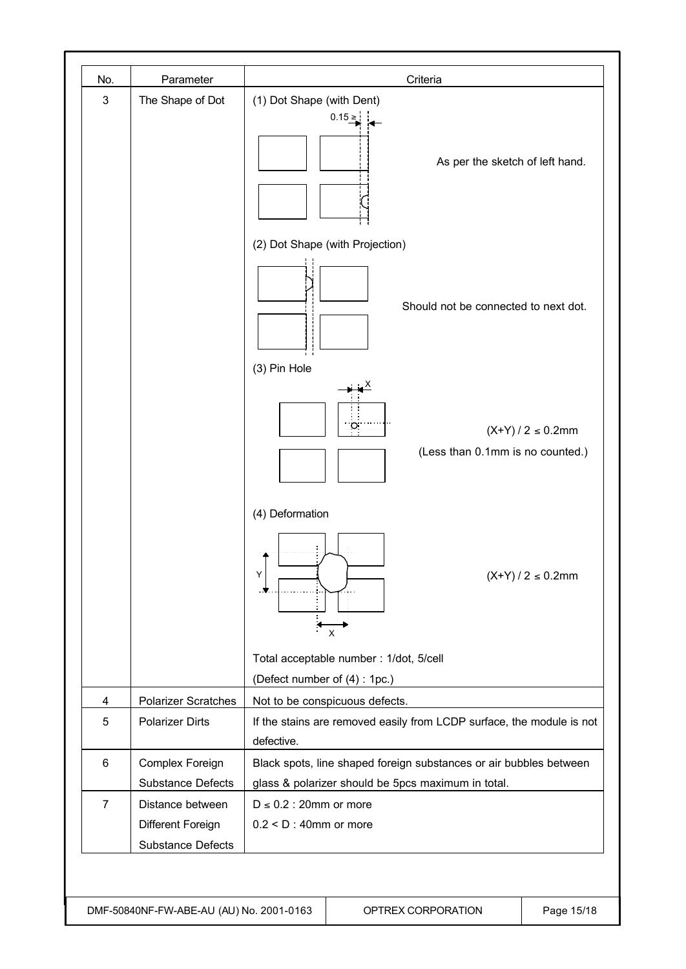| No.            | Parameter                                                         | Criteria                                                                                                                               |
|----------------|-------------------------------------------------------------------|----------------------------------------------------------------------------------------------------------------------------------------|
| $\sqrt{3}$     | The Shape of Dot                                                  | (1) Dot Shape (with Dent)<br>$0.15 \ge$<br>As per the sketch of left hand.                                                             |
|                |                                                                   | (2) Dot Shape (with Projection)                                                                                                        |
|                |                                                                   | Should not be connected to next dot.                                                                                                   |
|                |                                                                   | (3) Pin Hole<br>$(X+Y)/2 \le 0.2$ mm<br>(Less than 0.1mm is no counted.)                                                               |
|                |                                                                   | (4) Deformation<br>Υ<br>$(X+Y)/2 \le 0.2$ mm<br>X                                                                                      |
|                |                                                                   | Total acceptable number : 1/dot, 5/cell                                                                                                |
|                |                                                                   | (Defect number of (4): 1pc.)                                                                                                           |
| $\overline{4}$ | <b>Polarizer Scratches</b>                                        | Not to be conspicuous defects.                                                                                                         |
| 5              | <b>Polarizer Dirts</b>                                            | If the stains are removed easily from LCDP surface, the module is not                                                                  |
| 6              | Complex Foreign<br>Substance Defects                              | defective.<br>Black spots, line shaped foreign substances or air bubbles between<br>glass & polarizer should be 5pcs maximum in total. |
| $\overline{7}$ | Distance between<br>Different Foreign<br><b>Substance Defects</b> | $D \le 0.2$ : 20mm or more<br>$0.2 < D$ : 40mm or more                                                                                 |

DMF-50840NF-FW-ABE-AU (AU) No. 2001-0163 QPTREX CORPORATION Q Page 15/18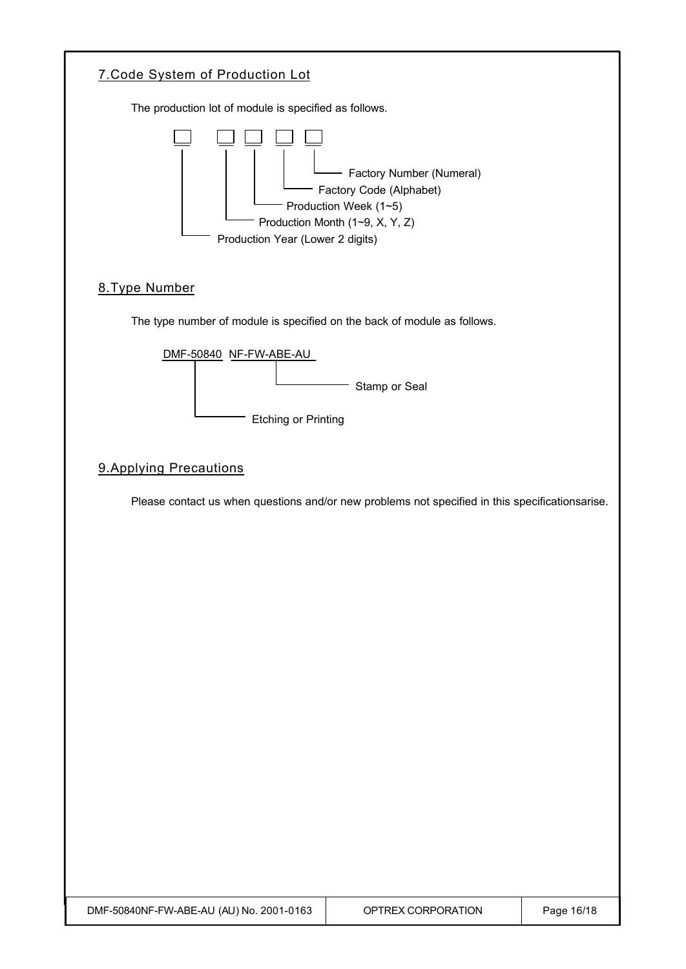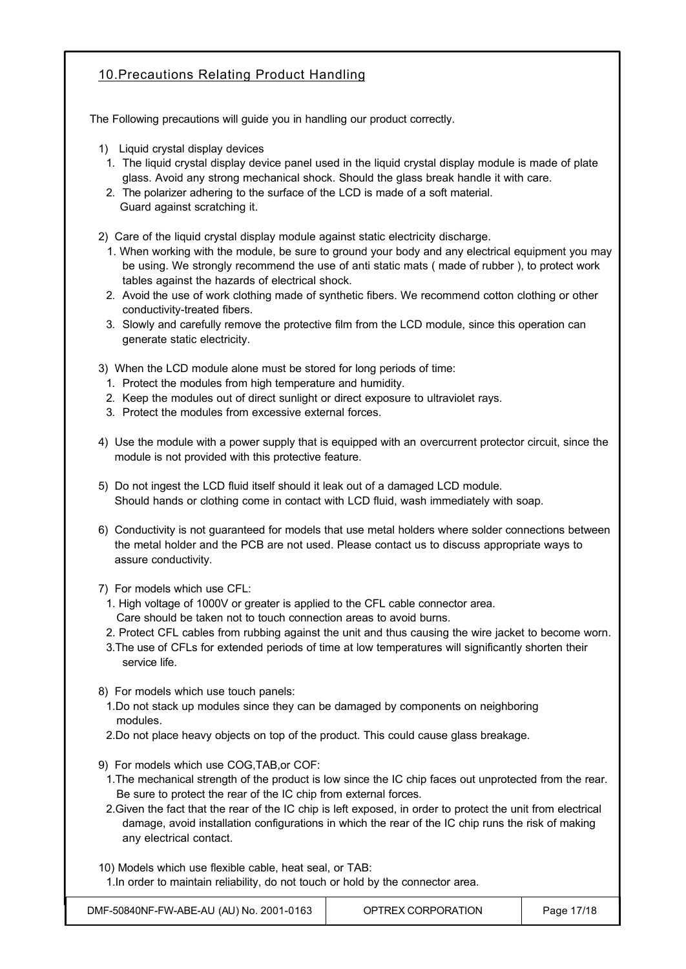## 10.Precautions Relating Product Handling

The Following precautions will guide you in handling our product correctly.

- 1) Liquid crystal display devices
	- 1. The liquid crystal display device panel used in the liquid crystal display module is made of plate glass. Avoid any strong mechanical shock. Should the glass break handle it with care.
- 2. The polarizer adhering to the surface of the LCD is made of a soft material. Guard against scratching it.

2) Care of the liquid crystal display module against static electricity discharge.

- 1. When working with the module, be sure to ground your body and any electrical equipment you may be using. We strongly recommend the use of anti static mats ( made of rubber ), to protect work tables against the hazards of electrical shock.
- 2. Avoid the use of work clothing made of synthetic fibers. We recommend cotton clothing or other conductivity-treated fibers.
- 3. Slowly and carefully remove the protective film from the LCD module, since this operation can generate static electricity.

3) When the LCD module alone must be stored for long periods of time:

- 1. Protect the modules from high temperature and humidity.
- 2. Keep the modules out of direct sunlight or direct exposure to ultraviolet rays.
- 3. Protect the modules from excessive external forces.
- 4) Use the module with a power supply that is equipped with an overcurrent protector circuit, since the module is not provided with this protective feature.
- 5) Do not ingest the LCD fluid itself should it leak out of a damaged LCD module. Should hands or clothing come in contact with LCD fluid, wash immediately with soap.
- 6) Conductivity is not guaranteed for models that use metal holders where solder connections between the metal holder and the PCB are not used. Please contact us to discuss appropriate ways to assure conductivity.

7) For models which use CFL:

- 1. High voltage of 1000V or greater is applied to the CFL cable connector area. Care should be taken not to touch connection areas to avoid burns.
- 2. Protect CFL cables from rubbing against the unit and thus causing the wire jacket to become worn.
- 3.The use of CFLs for extended periods of time at low temperatures will significantly shorten their service life.
- 8) For models which use touch panels:
- 1.Do not stack up modules since they can be damaged by components on neighboring modules.
- 2.Do not place heavy objects on top of the product. This could cause glass breakage.
- 9) For models which use COG,TAB,or COF:
- 1.The mechanical strength of the product is low since the IC chip faces out unprotected from the rear. Be sure to protect the rear of the IC chip from external forces.
- 2.Given the fact that the rear of the IC chip is left exposed, in order to protect the unit from electrical damage, avoid installation configurations in which the rear of the IC chip runs the risk of making any electrical contact.

10) Models which use flexible cable, heat seal, or TAB:

1.In order to maintain reliability, do not touch or hold by the connector area.